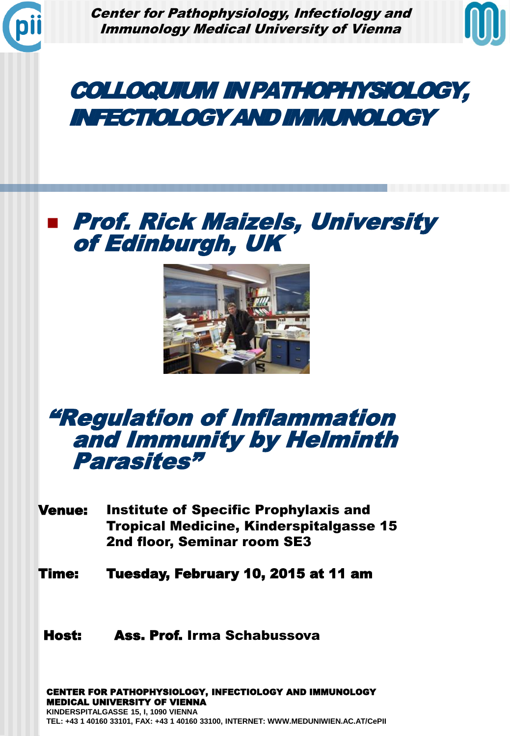

Center for Pathophysiology, Infectiology and Immunology Medical University of Vienna



# COLLOQUIUM IN PATHOPHYSIOLOGY, INFECTIOLOGY AND IMMUNOLOGY

## **E** Prof. Rick Maizels, University of Edinburgh, UK



### "Regulation of Inflammation and Immunity by Helminth Parasites"

Venue: Institute of Specific Prophylaxis and Tropical Medicine, Kinderspitalgasse 15 2nd floor, Seminar room SE3

Time: Tuesday, February 10, 2015 at 11 am

### Host: Ass. Prof. Irma Schabussova

CENTER FOR PATHOPHYSIOLOGY, INFECTIOLOGY AND IMMUNOLOGY MEDICAL UNIVERSITY OF VIENNA **KINDERSPITALGASSE 15, I, 1090 VIENNA TEL: +43 1 40160 33101, FAX: +43 1 40160 33100, INTERNET: WWW.MEDUNIWIEN.AC.AT/CePII**